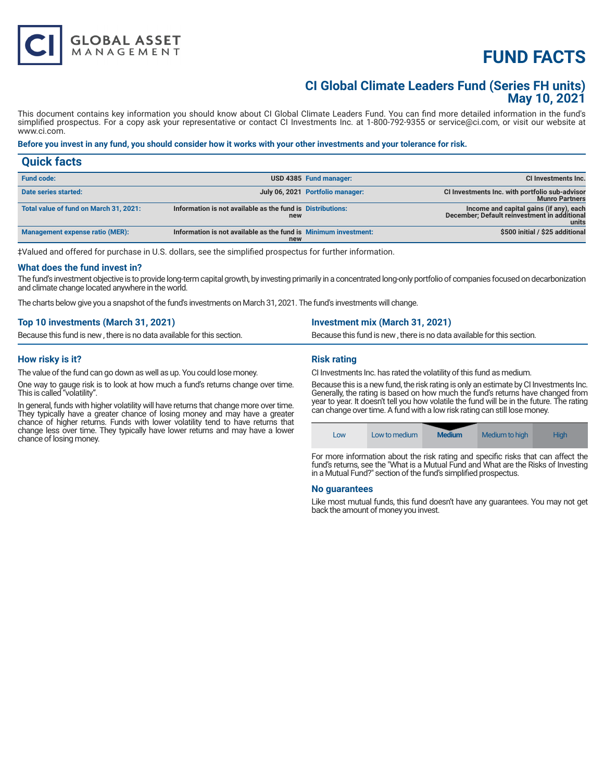# **FUND FACTS**

### **CI Global Climate Leaders Fund (Series FH units) May 10, 2021**

This document contains key information you should know about CI Global Climate Leaders Fund. You can find more detailed information in the fund's simplified prospectus. For a copy ask your representative or contact CI Investments Inc. at 1-800-792-9355 or service@ci.com, or visit our website at www.ci.com.

#### **Before you invest in any fund, you should consider how it works with your other investments and your tolerance for risk.**

| <b>Quick facts</b>                     |                                                                        |                                  |                                                                                                  |
|----------------------------------------|------------------------------------------------------------------------|----------------------------------|--------------------------------------------------------------------------------------------------|
| <b>Fund code:</b>                      |                                                                        | USD 4385 Fund manager:           | CI Investments Inc.                                                                              |
| Date series started:                   |                                                                        | July 06, 2021 Portfolio manager: | CI Investments Inc. with portfolio sub-advisor<br><b>Munro Partners</b>                          |
| Total value of fund on March 31, 2021: | Information is not available as the fund is Distributions:<br>new      |                                  | Income and capital gains (if any), each<br>December; Default reinvestment in additional<br>units |
| Management expense ratio (MER):        | Information is not available as the fund is Minimum investment:<br>new |                                  | \$500 initial / \$25 additional                                                                  |

‡Valued and offered for purchase in U.S. dollars, see the simplified prospectus for further information.

#### **What does the fund invest in?**

The fund's investment objective is to provide long-term capital growth, by investing primarily in a concentrated long-only portfolio of companies focused on decarbonization and climate change located anywhere in the world.

The charts below give you a snapshot of the fund's investments on March 31, 2021. The fund's investments will change.

| Top 10 investments (March 31, 2021)                                    | <b>Investment mix (March 31, 2021)</b>                                 |
|------------------------------------------------------------------------|------------------------------------------------------------------------|
| Because this fund is new, there is no data available for this section. | Because this fund is new, there is no data available for this section. |
|                                                                        |                                                                        |

#### **How risky is it?**

The value of the fund can go down as well as up. You could lose money.

**GLOBAL ASSET**<br>MANAGEMENT

One way to gauge risk is to look at how much a fund's returns change over time. This is called "volatility".

In general, funds with higher volatility will have returns that change more over time. They typically have a greater chance of losing money and may have a greater chance of higher returns. Funds with lower volatility tend to have returns that change less over time. They typically have lower returns and may have a lower chance of losing money.

#### **Risk rating**

CI Investments Inc. has rated the volatility of this fund as medium.

Because this is a new fund, the risk rating is only an estimate by CI Investments Inc. Generally, the rating is based on how much the fund's returns have changed from year to year. It doesn't tell you how volatile the fund will be in the future. The rating can change over time. A fund with a low risk rating can still lose money.



For more information about the risk rating and specific risks that can affect the fund's returns, see the "What is a Mutual Fund and What are the Risks of Investing in a Mutual Fund?" section of the fund's simplified prospectus.

#### **No guarantees**

Like most mutual funds, this fund doesn't have any guarantees. You may not get back the amount of money you invest.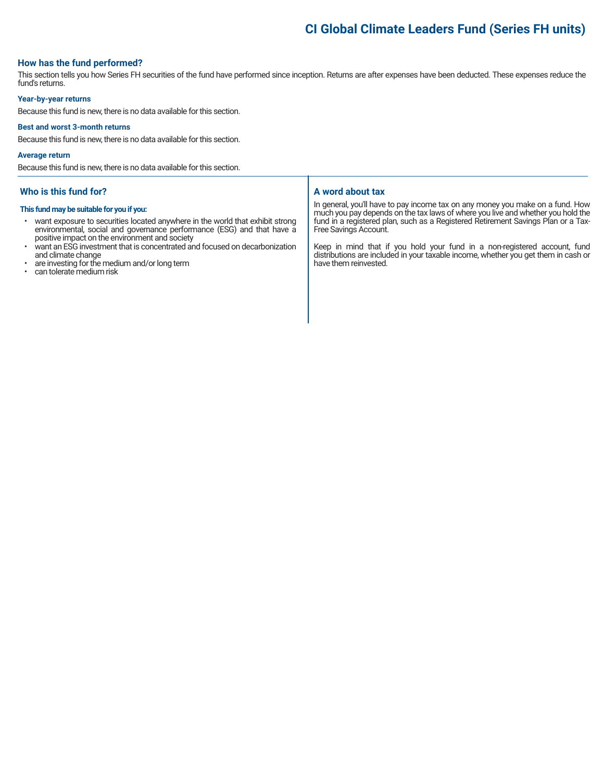## **CI Global Climate Leaders Fund (Series FH units)**

#### **How has the fund performed?**

This section tells you how Series FH securities of the fund have performed since inception. Returns are after expenses have been deducted. These expenses reduce the fund's returns.

#### **Year-by-year returns**

Because this fund is new, there is no data available for this section.

#### **Best and worst 3-month returns**

Because this fund is new, there is no data available for this section.

#### **Average return**

Because this fund is new, there is no data available for this section.

#### **Who is this fund for?**

#### **This fund may be suitable for you if you:**

- want exposure to securities located anywhere in the world that exhibit strong environmental, social and governance performance (ESG) and that have a positive impact on the environment and society
- want an ESG investment that is concentrated and focused on decarbonization and climate change
- are investing for the medium and/or long term
- can tolerate medium risk

#### **A word about tax**

In general, you'll have to pay income tax on any money you make on a fund. How much you pay depends on the tax laws of where you live and whether you hold the fund in a registered plan, such as a Registered Retirement Savings Plan or a Tax-Free Savings Account.

Keep in mind that if you hold your fund in a non-registered account, fund distributions are included in your taxable income, whether you get them in cash or have them reinvested.